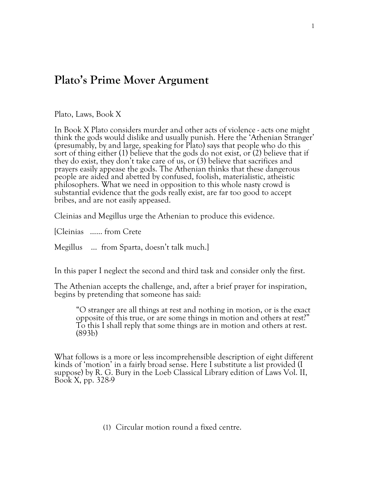## **Plato's Prime Mover Argument**

Plato, Laws, Book X

In Book X Plato considers murder and other acts of violence - acts one might think the gods would dislike and usually punish. Here the 'Athenian Stranger' (presumably, by and large, speaking for Plato) says that people who do this sort of thing either (1) believe that the gods do not exist, or (2) believe that if they do exist, they don't take care of us, or (3) believe that sacrifices and prayers easily appease the gods. The Athenian thinks that these dangerous people are aided and abetted by confused, foolish, materialistic, atheistic philosophers. What we need in opposition to this whole nasty crowd is substantial evidence that the gods really exist, are far too good to accept bribes, and are not easily appeased.

Cleinias and Megillus urge the Athenian to produce this evidence.

[Cleinias …… from Crete

Megillus … from Sparta, doesn't talk much.]

In this paper I neglect the second and third task and consider only the first.

The Athenian accepts the challenge, and, after <sup>a</sup> brief prayer for inspiration, begins by pretending that someone has said:

"O stranger are all things at rest and nothing in motion, or is the exact opposite of this true, or are some things in motion and others at rest?" To this <sup>I</sup> shall reply that some things are in motion and others at rest. (893b)

What follows is a more or less incomprehensible description of eight different kinds of 'motion' in a fairly broad sense. Here I substitute a list provided (I suppose) by R. G. Bury in the Loeb Classical Library edition of Laws Vol. II, Book X, pp. 328-9

(1) Circular motion round a fixed centre.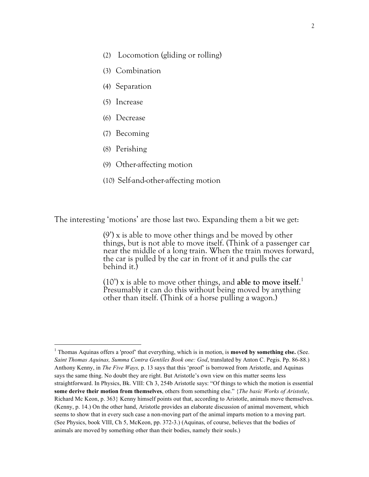- (2) Locomotion (gliding or rolling)
- (3) Combination
- (4) Separation
- (5) Increase
- (6) Decrease
- (7) Becoming
- (8) Perishing

<u>.</u>

- (9) Other-affecting motion
- (10) Self-and-other-affecting motion

The interesting 'motions' are those last two. Expanding them a bit we get:

(9') x is able to move other things and be moved by other things, but is not able to move itself. (Think of a passenger car near the middle of <sup>a</sup> long train. When the train moves forward, the car is pulled by the car in front of it and pulls the car behind it.)

(10') x is able to move other things, and **able to move itself**. 1 Presumably it can do this without being moved by anything other than itself. (Think of a horse pulling a wagon.)

<sup>1</sup> Thomas Aquinas offers a 'proof' that everything, which is in motion, is **moved by something else.** (See. *Saint Thomas Aquinas, Summa Contra Gentiles Book one: God*, translated by Anton C. Pegis. Pp. 86-88.) Anthony Kenny, in *The Five Ways,* p. 13 says that this 'proof' is borrowed from Aristotle, and Aquinas says the same thing. No doubt they are right. But Aristotle's own view on this matter seems less straightforward. In Physics, Bk. VIII: Ch 3, 254b Aristotle says: "Of things to which the motion is essential **some derive their motion from themselves**, others from something else." {*The basic Works of Aristotle*, Richard Mc Keon, p. 363} Kenny himself points out that, according to Aristotle, animals move themselves. (Kenny, p. 14.) On the other hand, Aristotle provides an elaborate discussion of animal movement, which seems to show that in every such case a non-moving part of the animal imparts motion to a moving part. (See Physics, book VIII, Ch 5, McKeon, pp. 372-3.) (Aquinas, of course, believes that the bodies of animals are moved by something other than their bodies, namely their souls.)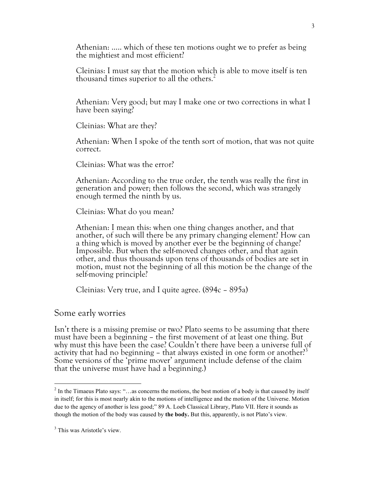Athenian: ….. which of these ten motions ought we to prefer as being the mightiest and most efficient?

Cleinias: I must say that the motion which is able to move itself is ten thousand times superior to all the others.<sup>2</sup>

Athenian: Very good; but may I make one or two corrections in what I have been saying?

Cleinias: What are they?

Athenian: When I spoke of the tenth sort of motion, that was not quite correct.

Cleinias: What was the error?

Athenian: According to the true order, the tenth was really the first in generation and power; then follows the second, which was strangely enough termed the ninth by us.

Cleinias: What do you mean?

Athenian: I mean this: when one thing changes another, and that another, of such will there be any primary changing element? How can a thing which is moved by another ever be the beginning of change? Impossible. But when the self-moved changes other, and that again other, and thus thousands upon tens of thousands of bodies are set in motion, must not the beginning of all this motion be the change of the self-moving principle?

Cleinias: Very true, and I quite agree. (894c – 895a)

Some early worries

Isn't there is a missing premise or two? Plato seems to be assuming that there must have been a beginning – the first movement of at least one thing. But why must this have been the case? Couldn't there have been a universe full of activity that had no beginning – that always existed in one form or another?<sup>3</sup> Some versions of the 'prime mover' argument include defense of the claim that the universe must have had a beginning.)

**.** 

 $2 \text{ In the Timaeus Plato says: } ...$  as concerns the motions, the best motion of a body is that caused by itself in itself; for this is most nearly akin to the motions of intelligence and the motion of the Universe. Motion due to the agency of another is less good;" 89 A. Loeb Classical Library, Plato VII. Here it sounds as though the motion of the body was caused by **the body.** But this, apparently, is not Plato's view.

 $3$  This was Aristotle's view.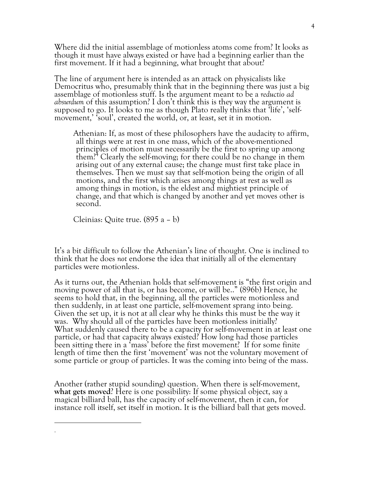Where did the initial assemblage of motionless atoms come from? It looks as though it must have always existed or have had a beginning earlier than the first movement. If it had a beginning, what brought that about?

The line of argument here is intended as an attack on physicalists like Democritus who, presumably think that in the beginning there was just a big assemblage of motionless stuff. Is the argument meant to be a *reductio ad absurdum* of this assumption? I don't think this is they way the argument is supposed to go. It looks to me as though Plato really thinks that 'life', 'self- movement,' 'soul', created the world, or, at least, set it in motion.

Athenian: If, as most of these philosophers have the audacity to affirm, all things were at rest in one mass, which of the above-mentioned principles of motion must necessarily be the first to spring up among them?<sup>4</sup> Clearly the self-moving; for there could be no change in them arising out of any external cause; the change must first take place in themselves. Then we must say that self-motion being the origin of all motions, and the first which arises among things at rest as well as among things in motion, is the eldest and mightiest principle of change, and that which is changed by another and yet moves other is second.

Cleinias: Quite true. (895 a – b)

**.** .

It's a bit difficult to follow the Athenian's line of thought. One is inclined to think that he does *not* endorse the idea that initially all of the elementary particles were motionless.

As it turns out, the Athenian holds that self-movement is "the first origin and moving power of all that is, or has become, or will be.." (896b) Hence, he seems to hold that, in the beginning, all the particles were motionless and then suddenly, in at least one particle, self-movement sprang into being. Given the set up, it is not at all clear why he thinks this must be the way it was. Why should all of the particles have been motionless initially? What suddenly caused there to be a capacity for self-movement in at least one particle, or had that capacity always existed? How long had those particles been sitting there in a 'mass' before the first movement? If for some finite length of time then the first 'movement' was not the voluntary movement of some particle or group of particles. It was the coming into being of the mass.

Another (rather stupid sounding) question. When there is self-movement, **what gets moved**? Here is one possibility: If some physical object, say <sup>a</sup> magical billiard ball, has the capacity of self-movement, then it can, for instance roll itself, set itself in motion. It is the billiard ball that gets moved.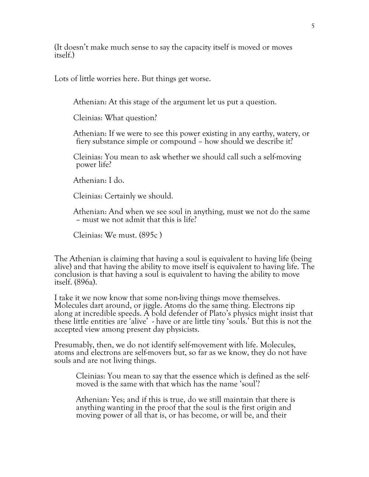(It doesn't make much sense to say the capacity itself is moved or moves itself.)

Lots of little worries here. But things get worse.

Athenian: At this stage of the argument let us put a question.

Cleinias: What question?

Athenian: If we were to see this power existing in any earthy, watery, or fiery substance simple or compound – how should we describe it?

Cleinias: You mean to ask whether we should call such a self-moving power life?

Athenian: I do.

Cleinias: Certainly we should.

Athenian: And when we see soul in anything, must we not do the same – must we not admit that this is life?

Cleinias: We must. (895c )

The Athenian is claiming that having a soul is equivalent to having life (being alive) and that having the ability to move itself is equivalent to having life. The conclusion is that having a soul is equivalent to having the ability to move itself. (896a).

<sup>I</sup> take it we now know that some non-living things move themselves. Molecules dart around, or jiggle. Atoms do the same thing. Electrons zip along at incredible speeds. A bold defender of Plato's physics might insist that these little entities are 'alive' - have or are little tiny 'souls.' But this is not the accepted view among present day physicists.

Presumably, then, we do not identify self-movement with life. Molecules, atoms and electrons are self-movers but, so far as we know, they do not have souls and are not living things.

Cleinias: You mean to say that the essence which is defined as the self- moved is the same with that which has the name 'soul'?

Athenian: Yes; and if this is true, do we still maintain that there is anything wanting in the proof that the soul is the first origin and moving power of all that is, or has become, or will be, and their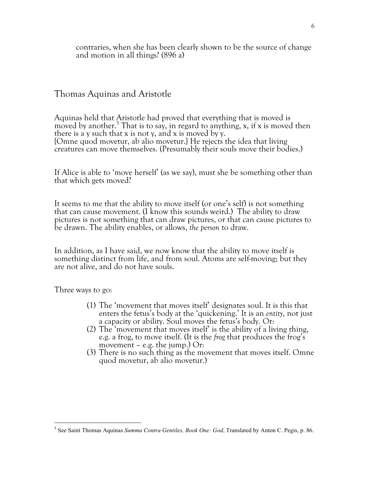contraries, when she has been clearly shown to be the source of change and motion in all things? (896 a)

Thomas Aquinas and Aristotle

Aquinas held that Aristotle had proved that everything that is moved is moved by another.<sup>5</sup> That is to say, in regard to anything, x, if x is moved then there is <sup>a</sup> <sup>y</sup> such that <sup>x</sup> is not y, and <sup>x</sup> is moved by y. {Omne quod movetur, ab alio movetur.} He rejects the idea that living creatures can move themselves. (Presumably their souls move their bodies.)

If Alice is able to 'move herself' (as we say), must she be something other than that which gets moved?

It seems to me that the ability to move itself (or one's self) is not something that can cause movement. (I know this sounds weird.) The ability to draw pictures is not something that can draw pictures, or that can cause pictures to be drawn. The ability enables, or allows, *the person* to draw.

In addition, as I have said, we now know that the ability to move itself is something distinct from life, and from soul. Atoms are self-moving; but they are not alive, and do not have souls.

Three ways to go:

**.** 

- (1) The 'movement that moves itself' designates soul. It is this that enters the fetus's body at the 'quickening.' It is an *entity*, not just
- a capacity or ability. Soul moves the fetus's body. Or:<br>(2) The 'movement that moves itself' is the ability of a living thing, e.g. a frog, to move itself. (It is the *frog* that produces the frog's movement – e.g. the jump.) Or:
- (3) There is no such thing as the movement that moves itself. Omne quod movetur, ab alio movetur.)

<sup>5</sup> See Saint Thomas Aquinas *Summa Contra Gentiles, Book One: God*, Translated by Anton C. Pegis, p. 86.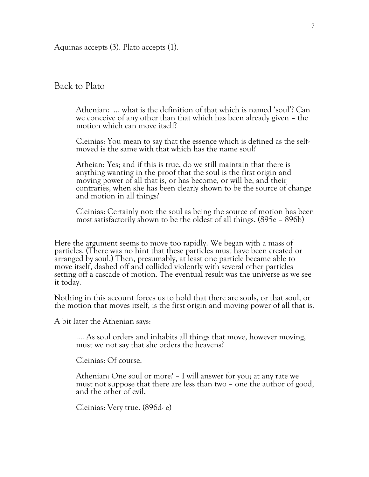Aquinas accepts (3). Plato accepts (1).

Back to Plato

Athenian: … what is the definition of that which is named 'soul'? Can we conceive of any other than that which has been already given – the motion which can move itself?

Cleinias: You mean to say that the essence which is defined as the self- moved is the same with that which has the name soul?

Atheian: Yes; and if this is true, do we still maintain that there is anything wanting in the proof that the soul is the first origin and moving power of all that is, or has become, or will be, and their contraries, when she has been clearly shown to be the source of change and motion in all things?

Cleinias: Certainly not; the soul as being the source of motion has been most satisfactorily shown to be the oldest of all things. (895e – 896b)

Here the argument seems to move too rapidly. We began with a mass of particles. (There was no hint that these particles must have been created or arranged by soul.) Then, presumably, at least one particle became able to move itself, dashed off and collided violently with several other particles setting off a cascade of motion. The eventual result was the universe as we see it today.

Nothing in this account forces us to hold that there are souls, or that soul, or the motion that moves itself, is the first origin and moving power of all that is.

A bit later the Athenian says:

…. As soul orders and inhabits all things that move, however moving, must we not say that she orders the heavens?

Cleinias: Of course.

Athenian: One soul or more? – I will answer for you; at any rate we must not suppose that there are less than two – one the author of good, and the other of evil.

Cleinias: Very true. (896d- e)